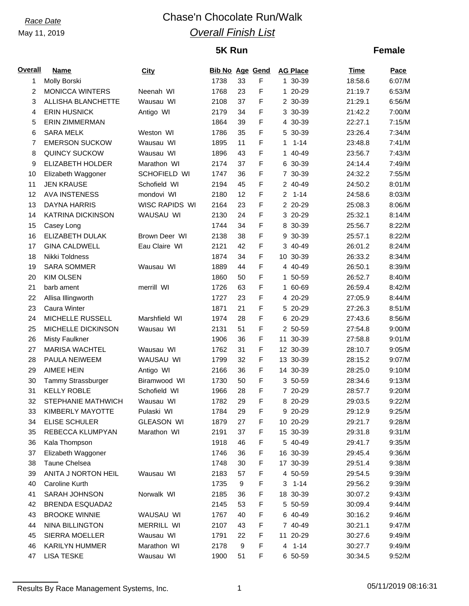# *Race Date* Chase'n Chocolate Run/Walk *Overall Finish List*

# **5K Run**

## **Female**

| <b>Overall</b> | <b>Name</b>              | City              | <b>Bib No Age Gend</b> |    |             |   | <b>AG Place</b> | <b>Time</b> | Pace   |
|----------------|--------------------------|-------------------|------------------------|----|-------------|---|-----------------|-------------|--------|
| 1              | Molly Borski             |                   | 1738                   | 33 | F           |   | 1 30-39         | 18:58.6     | 6:07/M |
| 2              | <b>MONICCA WINTERS</b>   | Neenah WI         | 1768                   | 23 | F           |   | 1 20-29         | 21:19.7     | 6:53/M |
| 3              | ALLISHA BLANCHETTE       | Wausau WI         | 2108                   | 37 | F           |   | 2 30-39         | 21:29.1     | 6:56/M |
| 4              | <b>ERIN HUSNICK</b>      | Antigo WI         | 2179                   | 34 | F           |   | 3 30-39         | 21:42.2     | 7:00/M |
| 5              | <b>ERIN ZIMMERMAN</b>    |                   | 1864                   | 39 | F           |   | 4 30-39         | 22:27.1     | 7:15/M |
| 6              | <b>SARA MELK</b>         | Weston WI         | 1786                   | 35 | F           | 5 | 30-39           | 23:26.4     | 7:34/M |
| 7              | <b>EMERSON SUCKOW</b>    | Wausau WI         | 1895                   | 11 | F           | 1 | $1 - 14$        | 23:48.8     | 7:41/M |
| 8              | <b>QUINCY SUCKOW</b>     | Wausau WI         | 1896                   | 43 | $\mathsf F$ |   | 1 40-49         | 23:56.7     | 7:43/M |
| 9              | ELIZABETH HOLDER         | Marathon WI       | 2174                   | 37 | F           |   | 6 30-39         | 24:14.4     | 7:49/M |
| 10             | Elizabeth Waggoner       | SCHOFIELD WI      | 1747                   | 36 | F           |   | 7 30-39         | 24:32.2     | 7:55/M |
| 11             | <b>JEN KRAUSE</b>        | Schofield WI      | 2194                   | 45 | F           |   | 2 40-49         | 24:50.2     | 8:01/M |
| 12             | <b>AVA INSTENESS</b>     | mondovi WI        | 2180                   | 12 | F           |   | $2 1 - 14$      | 24:58.6     | 8:03/M |
| 13             | DAYNA HARRIS             | WISC RAPIDS WI    | 2164                   | 23 | F           |   | 2 20-29         | 25:08.3     | 8:06/M |
| 14             | <b>KATRINA DICKINSON</b> | WAUSAU WI         | 2130                   | 24 | F           |   | 3 20-29         | 25:32.1     | 8:14/M |
| 15             | Casey Long               |                   | 1744                   | 34 | F           |   | 8 30-39         | 25:56.7     | 8:22/M |
| 16             | ELIZABETH DULAK          | Brown Deer WI     | 2138                   | 38 | F           |   | 9 30-39         | 25:57.1     | 8:22/M |
| 17             | <b>GINA CALDWELL</b>     | Eau Claire WI     | 2121                   | 42 | F           |   | 3 40-49         | 26:01.2     | 8:24/M |
| 18             | Nikki Toldness           |                   | 1874                   | 34 | $\mathsf F$ |   | 10 30-39        | 26:33.2     | 8:34/M |
| 19             | <b>SARA SOMMER</b>       | Wausau WI         | 1889                   | 44 | F           |   | 4 40-49         | 26:50.1     | 8:39/M |
| 20             | <b>KIM OLSEN</b>         |                   | 1860                   | 50 | F           |   | 1 50-59         | 26:52.7     | 8:40/M |
| 21             | barb ament               | merrill WI        | 1726                   | 63 | F           |   | 1 60-69         | 26:59.4     | 8:42/M |
| 22             | Allisa Illingworth       |                   | 1727                   | 23 | F           |   | 4 20-29         | 27:05.9     | 8:44/M |
| 23             | Caura Winter             |                   | 1871                   | 21 | F           |   | 5 20-29         | 27:26.3     | 8:51/M |
| 24             | MICHELLE RUSSELL         | Marshfield WI     | 1974                   | 28 | F           |   | 6 20-29         | 27:43.6     | 8:56/M |
| 25             | MICHELLE DICKINSON       | Wausau WI         | 2131                   | 51 | F           |   | 2 50-59         | 27:54.8     | 9:00/M |
| 26             | <b>Misty Faulkner</b>    |                   | 1906                   | 36 | F           |   | 11 30-39        | 27:58.8     | 9:01/M |
| 27             | <b>MARISA WACHTEL</b>    | Wausau WI         | 1762                   | 31 | F           |   | 12 30-39        | 28:10.7     | 9:05/M |
| 28             | PAULA NEIWEEM            | WAUSAU WI         | 1799                   | 32 | F           |   | 13 30-39        | 28:15.2     | 9:07/M |
| 29             | AIMEE HEIN               | Antigo WI         | 2166                   | 36 | F           |   | 14 30-39        | 28:25.0     | 9:10/M |
| 30             | Tammy Strassburger       | Biramwood WI      | 1730                   | 50 | F           |   | 3 50-59         | 28:34.6     | 9:13/M |
| 31             | <b>KELLY ROBLE</b>       | Schofield WI      | 1966                   | 28 | F           |   | 7 20-29         | 28:57.7     | 9:20/M |
| 32             | STEPHANIE MATHWICH       | Wausau WI         | 1782                   | 29 | F           |   | 8 20-29         | 29:03.5     | 9:22/M |
| 33             | KIMBERLY MAYOTTE         | Pulaski WI        | 1784                   | 29 | F           |   | 9 20-29         | 29:12.9     | 9:25/M |
| 34             | ELISE SCHULER            | <b>GLEASON WI</b> | 1879                   | 27 | F           |   | 10 20-29        | 29:21.7     | 9:28/M |
| 35             | REBECCA KLUMPYAN         | Marathon WI       | 2191                   | 37 | F           |   | 15 30-39        | 29:31.8     | 9:31/M |
| 36             | Kala Thompson            |                   | 1918                   | 46 | F           |   | 5 40-49         | 29:41.7     | 9:35/M |
| 37             | Elizabeth Waggoner       |                   | 1746                   | 36 | F           |   | 16 30-39        | 29:45.4     | 9:36/M |
| 38             | Taune Chelsea            |                   | 1748                   | 30 | F           |   | 17 30-39        | 29:51.4     | 9:38/M |
| 39             | ANITA J NORTON HEIL      | Wausau WI         | 2183                   | 57 | F           |   | 4 50-59         | 29:54.5     | 9:39/M |
| 40             | Caroline Kurth           |                   | 1735                   | 9  | F           |   | $3 \t1-14$      | 29:56.2     | 9:39/M |
| 41             | SARAH JOHNSON            | Norwalk WI        | 2185                   | 36 | F           |   | 18 30-39        | 30:07.2     | 9:43/M |
| 42             | <b>BRENDA ESQUADA2</b>   |                   | 2145                   | 53 | F           |   | 5 50-59         | 30:09.4     | 9:44/M |
| 43             | <b>BROOKE WINNIE</b>     | WAUSAU WI         | 1767                   | 40 | F           |   | 6 40-49         | 30:16.2     | 9:46/M |
| 44             | <b>NINA BILLINGTON</b>   | MERRILL WI        | 2107                   | 43 | F           |   | 7 40-49         | 30:21.1     | 9:47/M |
| 45             | SIERRA MOELLER           | Wausau WI         | 1791                   | 22 | F           |   | 11 20-29        | 30:27.6     | 9:49/M |
| 46             | KARILYN HUMMER           | Marathon WI       | 2178                   | 9  | F           |   | $4 1 - 14$      | 30:27.7     | 9:49/M |
| 47             | <b>LISA TESKE</b>        | Wausau WI         | 1900                   | 51 | F           |   | 6 50-59         | 30:34.5     | 9:52/M |

Results By Race Management Systems, Inc. 1 1 1 1 05/11/2019 08:16:31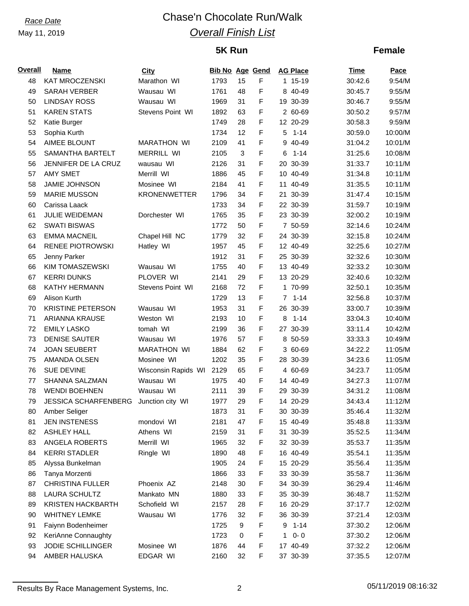# *Race Date* Chase'n Chocolate Run/Walk *Overall Finish List*

## **5K Run**

## **Female**

| <b>Overall</b> | <b>Name</b>                 | City                | <b>Bib No Age Gend</b> |            |             | <b>AG Place</b> | Time                | Pace    |
|----------------|-----------------------------|---------------------|------------------------|------------|-------------|-----------------|---------------------|---------|
| 48             | <b>KAT MROCZENSKI</b>       | Marathon WI         | 1793                   | 15         | F           | 1 15-19         | 30:42.6             | 9:54/M  |
| 49             | <b>SARAH VERBER</b>         | Wausau WI           | 1761                   | 48         | $\mathsf F$ | 8 40-49         | 30:45.7             | 9:55/M  |
| 50             | <b>LINDSAY ROSS</b>         | Wausau WI           | 1969                   | 31         | F           | 19 30-39        | 30:46.7             | 9:55/M  |
| 51             | <b>KAREN STATS</b>          | Stevens Point WI    | 1892                   | 63         | $\mathsf F$ | 2 60-69         | 30:50.2             | 9:57/M  |
| 52             | Katie Burger                |                     | 1749                   | 28         | $\mathsf F$ | 12 20-29        | 30:58.3             | 9:59/M  |
| 53             | Sophia Kurth                |                     | 1734                   | 12         | $\mathsf F$ | 5               | $1 - 14$<br>30:59.0 | 10:00/M |
| 54             | <b>AIMEE BLOUNT</b>         | <b>MARATHON WI</b>  | 2109                   | 41         | $\mathsf F$ | 9 40-49         | 31:04.2             | 10:01/M |
| 55             | SAMANTHA BARTELT            | <b>MERRILL WI</b>   | 2105                   | $\sqrt{3}$ | $\mathsf F$ | $1 - 14$<br>6   | 31:25.6             | 10:08/M |
| 56             | JENNIFER DE LA CRUZ         | wausau WI           | 2126                   | 31         | F           | 20 30-39        | 31:33.7             | 10:11/M |
| 57             | <b>AMY SMET</b>             | Merrill WI          | 1886                   | 45         | $\mathsf F$ | 10 40-49        | 31:34.8             | 10:11/M |
| 58             | <b>JAMIE JOHNSON</b>        | Mosinee WI          | 2184                   | 41         | $\mathsf F$ | 11              | 40-49<br>31:35.5    | 10:11/M |
| 59             | <b>MARIE MUSSON</b>         | <b>KRONENWETTER</b> | 1796                   | 34         | $\mathsf F$ | 21 30-39        | 31:47.4             | 10:15/M |
| 60             | Carissa Laack               |                     | 1733                   | 34         | F           | 22 30-39        | 31:59.7             | 10:19/M |
| 61             | JULIE WEIDEMAN              | Dorchester WI       | 1765                   | 35         | $\mathsf F$ | 23 30-39        | 32:00.2             | 10:19/M |
| 62             | <b>SWATI BISWAS</b>         |                     | 1772                   | 50         | $\mathsf F$ | 7 50-59         | 32:14.6             | 10:24/M |
| 63             | <b>EMMA MACNEIL</b>         | Chapel Hill NC      | 1779                   | 32         | $\mathsf F$ | 24 30-39        | 32:15.8             | 10:24/M |
| 64             | <b>RENEE PIOTROWSKI</b>     | Hatley WI           | 1957                   | 45         | F           | 12 40-49        | 32:25.6             | 10:27/M |
| 65             | Jenny Parker                |                     | 1912                   | 31         | $\mathsf F$ | 25 30-39        | 32:32.6             | 10:30/M |
| 66             | <b>KIM TOMASZEWSKI</b>      | Wausau WI           | 1755                   | 40         | $\mathsf F$ | 13 40-49        | 32:33.2             | 10:30/M |
| 67             | <b>KERRI DUNKS</b>          | PLOVER WI           | 2141                   | 29         | $\mathsf F$ | 13 20-29        | 32:40.6             | 10:32/M |
| 68             | <b>KATHY HERMANN</b>        | Stevens Point WI    | 2168                   | 72         | F           | 1 70-99         | 32:50.1             | 10:35/M |
| 69             | Alison Kurth                |                     | 1729                   | 13         | $\mathsf F$ | $7.1-14$        | 32:56.8             | 10:37/M |
| 70             | <b>KRISTINE PETERSON</b>    | Wausau WI           | 1953                   | 31         | $\mathsf F$ | 26 30-39        | 33:00.7             | 10:39/M |
| 71             | ARIANNA KRAUSE              | Weston WI           | 2193                   | 10         | $\mathsf F$ | 8<br>$1 - 14$   | 33:04.3             | 10:40/M |
| 72             | <b>EMILY LASKO</b>          | tomah WI            | 2199                   | 36         | F           | 27 30-39        | 33:11.4             | 10:42/M |
| 73             | <b>DENISE SAUTER</b>        | Wausau WI           | 1976                   | 57         | $\mathsf F$ | 8 50-59         | 33:33.3             | 10:49/M |
| 74             | <b>JOAN SEUBERT</b>         | <b>MARATHON WI</b>  | 1884                   | 62         | $\mathsf F$ | 3 60-69         | 34:22.2             | 11:05/M |
| 75             | AMANDA OLSEN                | Mosinee WI          | 1202                   | 35         | $\mathsf F$ | 28 30-39        | 34:23.6             | 11:05/M |
| 76             | <b>SUE DEVINE</b>           | Wisconsin Rapids WI | 2129                   | 65         | F           | 4 60-69         | 34:23.7             | 11:05/M |
| 77             | SHANNA SALZMAN              | Wausau WI           | 1975                   | 40         | $\mathsf F$ | 14 40-49        | 34:27.3             | 11:07/M |
| 78             | <b>WENDI BOEHNEN</b>        | Wausau WI           | 2111                   | 39         | F           | 29 30-39        | 34:31.2             | 11:08/M |
| 79             | <b>JESSICA SCHARFENBERG</b> | Junction city WI    | 1977                   | 29         | $\mathsf F$ | 14 20-29        | 34:43.4             | 11:12/M |
| 80             | Amber Seliger               |                     | 1873                   | 31         | F           | 30 30-39        | 35:46.4             | 11:32/M |
| 81             | <b>JEN INSTENESS</b>        | mondovi WI          | 2181                   | 47         | F           | 15 40-49        | 35:48.8             | 11:33/M |
| 82             | <b>ASHLEY HALL</b>          | Athens WI           | 2159                   | 31         | F           | 31 30-39        | 35:52.5             | 11:34/M |
| 83             | ANGELA ROBERTS              | Merrill WI          | 1965                   | 32         | F           | 32 30-39        | 35:53.7             | 11:35/M |
| 84             | <b>KERRI STADLER</b>        | Ringle WI           | 1890                   | 48         | F           | 16 40-49        | 35:54.1             | 11:35/M |
| 85             | Alyssa Bunkelman            |                     | 1905                   | 24         | F           | 15 20-29        | 35:56.4             | 11:35/M |
| 86             | Tanya Morzenti              |                     | 1866                   | 33         | F           | 33 30-39        | 35:58.7             | 11:36/M |
| 87             | <b>CHRISTINA FULLER</b>     | Phoenix AZ          | 2148                   | 30         | F           | 34 30-39        | 36:29.4             | 11:46/M |
| 88             | <b>LAURA SCHULTZ</b>        | Mankato MN          |                        |            | F           | 35 30-39        | 36:48.7             |         |
|                |                             |                     | 1880                   | 33         | F           |                 |                     | 11:52/M |
| 89             | <b>KRISTEN HACKBARTH</b>    | Schofield WI        | 2157                   | 28         |             | 16 20-29        | 37:17.7             | 12:02/M |
| 90             | <b>WHITNEY LEMKE</b>        | Wausau WI           | 1776                   | 32         | F           | 36 30-39        | 37:21.4             | 12:03/M |
| 91             | Faiynn Bodenheimer          |                     | 1725                   | 9          | F           | $9 1 - 14$      | 37:30.2             | 12:06/M |
| 92             | KeriAnne Connaughty         |                     | 1723                   | 0          | F           | $0 - 0$<br>1    | 37:30.2             | 12:06/M |
| 93             | JODIE SCHILLINGER           | Mosinee WI          | 1876                   | 44         | F           | 17 40-49        | 37:32.2             | 12:06/M |
| 94             | AMBER HALUSKA               | EDGAR WI            | 2160                   | 32         | F           | 37 30-39        | 37:35.5             | 12:07/M |

Results By Race Management Systems, Inc. 2 2 2 05/11/2019 08:16:32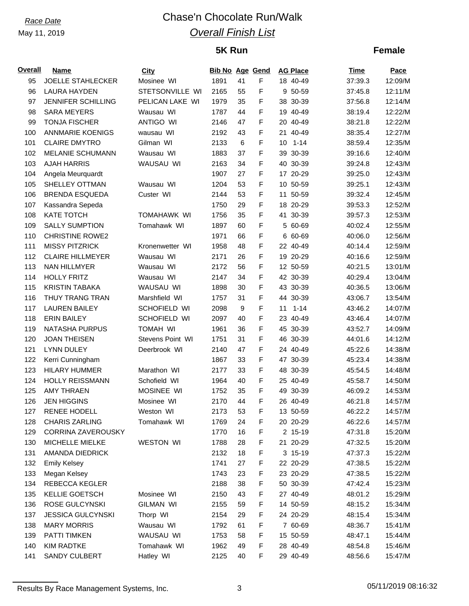# *Race Date* Chase'n Chocolate Run/Walk *Overall Finish List*

# **5K Run**

## **Female**

| F<br>95<br><b>JOELLE STAHLECKER</b><br>Mosinee WI<br>1891<br>41<br>18 40-49<br>37:39.3<br>STETSONVILLE WI<br>F<br>96<br><b>LAURA HAYDEN</b><br>2165<br>55<br>9 50-59<br>37:45.8<br>F<br>97<br><b>JENNIFER SCHILLING</b><br>PELICAN LAKE WI<br>1979<br>35<br>38 30-39<br>37:56.8<br>F<br><b>SARA MEYERS</b><br>Wausau WI<br>1787<br>44<br>19 40-49<br>98<br>38:19.4<br>F<br>99<br><b>TONJA FISCHER</b><br><b>ANTIGO WI</b><br>2146<br>47<br>20 40-49<br>38:21.8<br>F<br>100<br><b>ANNMARIE KOENIGS</b><br>wausau WI<br>2192<br>43<br>40-49<br>38:35.4<br>21.<br>F<br>$\,6$<br>101<br><b>CLAIRE DMYTRO</b><br>Gilman WI<br>2133<br>$1 - 14$<br>10<br>38:59.4<br>F<br>102<br><b>MELANIE SCHUMANN</b><br>Wausau WI<br>1883<br>37<br>39 30-39<br>39:16.6<br>F<br>103<br><b>AJAH HARRIS</b><br>WAUSAU WI<br>2163<br>34<br>40 30-39<br>39:24.8<br>F<br>104<br>Angela Meurquardt<br>1907<br>27<br>17 20-29<br>39:25.0<br>53<br>F<br>105<br>SHELLEY OTTMAN<br>1204<br>10 50-59<br>Wausau WI<br>39:25.1<br>F<br>106<br><b>BRENDA ESQUEDA</b><br>Custer WI<br>2144<br>53<br>50-59<br>11<br>39:32.4<br>F<br>107<br>1750<br>29<br>18 20-29<br>Kassandra Sepeda<br>39:53.3<br><b>KATE TOTCH</b><br>F<br>108<br><b>TOMAHAWK WI</b><br>1756<br>35<br>41 30-39<br>39:57.3<br>F<br>109<br><b>SALLY SUMPTION</b><br>Tomahawk WI<br>1897<br>60<br>5 60-69<br>40:02.4<br>F<br>110<br><b>CHRISTINE ROWE2</b><br>1971<br>6 60-69<br>66<br>40:06.0<br>F<br>111<br><b>MISSY PITZRICK</b><br>1958<br>48<br>22 40-49<br>Kronenwetter WI<br>40:14.4<br>F<br>112<br><b>CLAIRE HILLMEYER</b><br>Wausau WI<br>2171<br>19 20-29<br>26<br>40:16.6<br>56<br>F<br>113<br><b>NAN HILLMYER</b><br>2172<br>12 50-59<br>Wausau WI<br>40:21.5<br>F<br>114<br><b>HOLLY FRITZ</b><br>2147<br>34<br>42 30-39<br>Wausau WI<br>40:29.4<br>F<br><b>KRISTIN TABAKA</b><br>115<br>WAUSAU WI<br>1898<br>43 30-39<br>30<br>40:36.5<br>F<br>116<br>THUY TRANG TRAN<br>Marshfield WI<br>1757<br>31<br>44 30-39<br>43:06.7<br>F<br>117<br><b>LAUREN BAILEY</b><br>SCHOFIELD WI<br>2098<br>9<br>$1 - 14$<br>11<br>43:46.2<br>F<br>118<br><b>ERIN BAILEY</b><br>SCHOFIELD WI<br>2097<br>23 40-49<br>40<br>43:46.4<br>F<br>119<br><b>NATASHA PURPUS</b><br><b>TOMAH WI</b><br>1961<br>36<br>45 30-39<br>43:52.7<br>F<br>120<br><b>JOAN THEISEN</b><br>Stevens Point WI<br>1751<br>31<br>46 30-39<br>44:01.6<br>F<br>121<br><b>LYNN DULEY</b><br>47<br>24 40-49<br>Deerbrook WI<br>2140<br>45:22.6<br>F<br>122<br>Kerri Cunningham<br>47 30-39<br>1867<br>33<br>45:23.4<br>F<br>2177<br>123<br><b>HILARY HUMMER</b><br>Marathon WI<br>33<br>48 30-39<br>45:54.5<br>F<br>124<br>HOLLY REISSMANN<br>Schofield WI<br>1964<br>40<br>25 40-49<br>45:58.7<br>F<br>125<br><b>AMY THRAEN</b><br>MOSINEE WI<br>1752<br>35<br>49 30-39<br>46:09.2<br>F<br>126<br><b>JEN HIGGINS</b><br>2170<br>44<br>26 40-49<br>Mosinee WI<br>46:21.8<br>127<br><b>RENEE HODELL</b><br>Weston WI<br>2173<br>53<br>F<br>13 50-59<br>46:22.2<br><b>CHARIS ZARLING</b><br>Tomahawk WI<br>1769<br>F<br>20 20-29<br>128<br>24<br>46:22.6 | Pace    |
|---------------------------------------------------------------------------------------------------------------------------------------------------------------------------------------------------------------------------------------------------------------------------------------------------------------------------------------------------------------------------------------------------------------------------------------------------------------------------------------------------------------------------------------------------------------------------------------------------------------------------------------------------------------------------------------------------------------------------------------------------------------------------------------------------------------------------------------------------------------------------------------------------------------------------------------------------------------------------------------------------------------------------------------------------------------------------------------------------------------------------------------------------------------------------------------------------------------------------------------------------------------------------------------------------------------------------------------------------------------------------------------------------------------------------------------------------------------------------------------------------------------------------------------------------------------------------------------------------------------------------------------------------------------------------------------------------------------------------------------------------------------------------------------------------------------------------------------------------------------------------------------------------------------------------------------------------------------------------------------------------------------------------------------------------------------------------------------------------------------------------------------------------------------------------------------------------------------------------------------------------------------------------------------------------------------------------------------------------------------------------------------------------------------------------------------------------------------------------------------------------------------------------------------------------------------------------------------------------------------------------------------------------------------------------------------------------------------------------------------------------------------------------------------------------------------------------------------------------------------------------------------------------------------------------------------------------------------------------------------------------------------------------------------------------|---------|
|                                                                                                                                                                                                                                                                                                                                                                                                                                                                                                                                                                                                                                                                                                                                                                                                                                                                                                                                                                                                                                                                                                                                                                                                                                                                                                                                                                                                                                                                                                                                                                                                                                                                                                                                                                                                                                                                                                                                                                                                                                                                                                                                                                                                                                                                                                                                                                                                                                                                                                                                                                                                                                                                                                                                                                                                                                                                                                                                                                                                                                                   | 12:09/M |
|                                                                                                                                                                                                                                                                                                                                                                                                                                                                                                                                                                                                                                                                                                                                                                                                                                                                                                                                                                                                                                                                                                                                                                                                                                                                                                                                                                                                                                                                                                                                                                                                                                                                                                                                                                                                                                                                                                                                                                                                                                                                                                                                                                                                                                                                                                                                                                                                                                                                                                                                                                                                                                                                                                                                                                                                                                                                                                                                                                                                                                                   | 12:11/M |
|                                                                                                                                                                                                                                                                                                                                                                                                                                                                                                                                                                                                                                                                                                                                                                                                                                                                                                                                                                                                                                                                                                                                                                                                                                                                                                                                                                                                                                                                                                                                                                                                                                                                                                                                                                                                                                                                                                                                                                                                                                                                                                                                                                                                                                                                                                                                                                                                                                                                                                                                                                                                                                                                                                                                                                                                                                                                                                                                                                                                                                                   | 12:14/M |
|                                                                                                                                                                                                                                                                                                                                                                                                                                                                                                                                                                                                                                                                                                                                                                                                                                                                                                                                                                                                                                                                                                                                                                                                                                                                                                                                                                                                                                                                                                                                                                                                                                                                                                                                                                                                                                                                                                                                                                                                                                                                                                                                                                                                                                                                                                                                                                                                                                                                                                                                                                                                                                                                                                                                                                                                                                                                                                                                                                                                                                                   | 12:22/M |
|                                                                                                                                                                                                                                                                                                                                                                                                                                                                                                                                                                                                                                                                                                                                                                                                                                                                                                                                                                                                                                                                                                                                                                                                                                                                                                                                                                                                                                                                                                                                                                                                                                                                                                                                                                                                                                                                                                                                                                                                                                                                                                                                                                                                                                                                                                                                                                                                                                                                                                                                                                                                                                                                                                                                                                                                                                                                                                                                                                                                                                                   | 12:22/M |
|                                                                                                                                                                                                                                                                                                                                                                                                                                                                                                                                                                                                                                                                                                                                                                                                                                                                                                                                                                                                                                                                                                                                                                                                                                                                                                                                                                                                                                                                                                                                                                                                                                                                                                                                                                                                                                                                                                                                                                                                                                                                                                                                                                                                                                                                                                                                                                                                                                                                                                                                                                                                                                                                                                                                                                                                                                                                                                                                                                                                                                                   | 12:27/M |
|                                                                                                                                                                                                                                                                                                                                                                                                                                                                                                                                                                                                                                                                                                                                                                                                                                                                                                                                                                                                                                                                                                                                                                                                                                                                                                                                                                                                                                                                                                                                                                                                                                                                                                                                                                                                                                                                                                                                                                                                                                                                                                                                                                                                                                                                                                                                                                                                                                                                                                                                                                                                                                                                                                                                                                                                                                                                                                                                                                                                                                                   | 12:35/M |
|                                                                                                                                                                                                                                                                                                                                                                                                                                                                                                                                                                                                                                                                                                                                                                                                                                                                                                                                                                                                                                                                                                                                                                                                                                                                                                                                                                                                                                                                                                                                                                                                                                                                                                                                                                                                                                                                                                                                                                                                                                                                                                                                                                                                                                                                                                                                                                                                                                                                                                                                                                                                                                                                                                                                                                                                                                                                                                                                                                                                                                                   | 12:40/M |
|                                                                                                                                                                                                                                                                                                                                                                                                                                                                                                                                                                                                                                                                                                                                                                                                                                                                                                                                                                                                                                                                                                                                                                                                                                                                                                                                                                                                                                                                                                                                                                                                                                                                                                                                                                                                                                                                                                                                                                                                                                                                                                                                                                                                                                                                                                                                                                                                                                                                                                                                                                                                                                                                                                                                                                                                                                                                                                                                                                                                                                                   | 12:43/M |
|                                                                                                                                                                                                                                                                                                                                                                                                                                                                                                                                                                                                                                                                                                                                                                                                                                                                                                                                                                                                                                                                                                                                                                                                                                                                                                                                                                                                                                                                                                                                                                                                                                                                                                                                                                                                                                                                                                                                                                                                                                                                                                                                                                                                                                                                                                                                                                                                                                                                                                                                                                                                                                                                                                                                                                                                                                                                                                                                                                                                                                                   | 12:43/M |
|                                                                                                                                                                                                                                                                                                                                                                                                                                                                                                                                                                                                                                                                                                                                                                                                                                                                                                                                                                                                                                                                                                                                                                                                                                                                                                                                                                                                                                                                                                                                                                                                                                                                                                                                                                                                                                                                                                                                                                                                                                                                                                                                                                                                                                                                                                                                                                                                                                                                                                                                                                                                                                                                                                                                                                                                                                                                                                                                                                                                                                                   | 12:43/M |
|                                                                                                                                                                                                                                                                                                                                                                                                                                                                                                                                                                                                                                                                                                                                                                                                                                                                                                                                                                                                                                                                                                                                                                                                                                                                                                                                                                                                                                                                                                                                                                                                                                                                                                                                                                                                                                                                                                                                                                                                                                                                                                                                                                                                                                                                                                                                                                                                                                                                                                                                                                                                                                                                                                                                                                                                                                                                                                                                                                                                                                                   | 12:45/M |
|                                                                                                                                                                                                                                                                                                                                                                                                                                                                                                                                                                                                                                                                                                                                                                                                                                                                                                                                                                                                                                                                                                                                                                                                                                                                                                                                                                                                                                                                                                                                                                                                                                                                                                                                                                                                                                                                                                                                                                                                                                                                                                                                                                                                                                                                                                                                                                                                                                                                                                                                                                                                                                                                                                                                                                                                                                                                                                                                                                                                                                                   | 12:52/M |
|                                                                                                                                                                                                                                                                                                                                                                                                                                                                                                                                                                                                                                                                                                                                                                                                                                                                                                                                                                                                                                                                                                                                                                                                                                                                                                                                                                                                                                                                                                                                                                                                                                                                                                                                                                                                                                                                                                                                                                                                                                                                                                                                                                                                                                                                                                                                                                                                                                                                                                                                                                                                                                                                                                                                                                                                                                                                                                                                                                                                                                                   | 12:53/M |
|                                                                                                                                                                                                                                                                                                                                                                                                                                                                                                                                                                                                                                                                                                                                                                                                                                                                                                                                                                                                                                                                                                                                                                                                                                                                                                                                                                                                                                                                                                                                                                                                                                                                                                                                                                                                                                                                                                                                                                                                                                                                                                                                                                                                                                                                                                                                                                                                                                                                                                                                                                                                                                                                                                                                                                                                                                                                                                                                                                                                                                                   | 12:55/M |
|                                                                                                                                                                                                                                                                                                                                                                                                                                                                                                                                                                                                                                                                                                                                                                                                                                                                                                                                                                                                                                                                                                                                                                                                                                                                                                                                                                                                                                                                                                                                                                                                                                                                                                                                                                                                                                                                                                                                                                                                                                                                                                                                                                                                                                                                                                                                                                                                                                                                                                                                                                                                                                                                                                                                                                                                                                                                                                                                                                                                                                                   | 12:56/M |
|                                                                                                                                                                                                                                                                                                                                                                                                                                                                                                                                                                                                                                                                                                                                                                                                                                                                                                                                                                                                                                                                                                                                                                                                                                                                                                                                                                                                                                                                                                                                                                                                                                                                                                                                                                                                                                                                                                                                                                                                                                                                                                                                                                                                                                                                                                                                                                                                                                                                                                                                                                                                                                                                                                                                                                                                                                                                                                                                                                                                                                                   | 12:59/M |
|                                                                                                                                                                                                                                                                                                                                                                                                                                                                                                                                                                                                                                                                                                                                                                                                                                                                                                                                                                                                                                                                                                                                                                                                                                                                                                                                                                                                                                                                                                                                                                                                                                                                                                                                                                                                                                                                                                                                                                                                                                                                                                                                                                                                                                                                                                                                                                                                                                                                                                                                                                                                                                                                                                                                                                                                                                                                                                                                                                                                                                                   | 12:59/M |
|                                                                                                                                                                                                                                                                                                                                                                                                                                                                                                                                                                                                                                                                                                                                                                                                                                                                                                                                                                                                                                                                                                                                                                                                                                                                                                                                                                                                                                                                                                                                                                                                                                                                                                                                                                                                                                                                                                                                                                                                                                                                                                                                                                                                                                                                                                                                                                                                                                                                                                                                                                                                                                                                                                                                                                                                                                                                                                                                                                                                                                                   | 13:01/M |
|                                                                                                                                                                                                                                                                                                                                                                                                                                                                                                                                                                                                                                                                                                                                                                                                                                                                                                                                                                                                                                                                                                                                                                                                                                                                                                                                                                                                                                                                                                                                                                                                                                                                                                                                                                                                                                                                                                                                                                                                                                                                                                                                                                                                                                                                                                                                                                                                                                                                                                                                                                                                                                                                                                                                                                                                                                                                                                                                                                                                                                                   | 13:04/M |
|                                                                                                                                                                                                                                                                                                                                                                                                                                                                                                                                                                                                                                                                                                                                                                                                                                                                                                                                                                                                                                                                                                                                                                                                                                                                                                                                                                                                                                                                                                                                                                                                                                                                                                                                                                                                                                                                                                                                                                                                                                                                                                                                                                                                                                                                                                                                                                                                                                                                                                                                                                                                                                                                                                                                                                                                                                                                                                                                                                                                                                                   | 13:06/M |
|                                                                                                                                                                                                                                                                                                                                                                                                                                                                                                                                                                                                                                                                                                                                                                                                                                                                                                                                                                                                                                                                                                                                                                                                                                                                                                                                                                                                                                                                                                                                                                                                                                                                                                                                                                                                                                                                                                                                                                                                                                                                                                                                                                                                                                                                                                                                                                                                                                                                                                                                                                                                                                                                                                                                                                                                                                                                                                                                                                                                                                                   | 13:54/M |
|                                                                                                                                                                                                                                                                                                                                                                                                                                                                                                                                                                                                                                                                                                                                                                                                                                                                                                                                                                                                                                                                                                                                                                                                                                                                                                                                                                                                                                                                                                                                                                                                                                                                                                                                                                                                                                                                                                                                                                                                                                                                                                                                                                                                                                                                                                                                                                                                                                                                                                                                                                                                                                                                                                                                                                                                                                                                                                                                                                                                                                                   | 14:07/M |
|                                                                                                                                                                                                                                                                                                                                                                                                                                                                                                                                                                                                                                                                                                                                                                                                                                                                                                                                                                                                                                                                                                                                                                                                                                                                                                                                                                                                                                                                                                                                                                                                                                                                                                                                                                                                                                                                                                                                                                                                                                                                                                                                                                                                                                                                                                                                                                                                                                                                                                                                                                                                                                                                                                                                                                                                                                                                                                                                                                                                                                                   | 14:07/M |
|                                                                                                                                                                                                                                                                                                                                                                                                                                                                                                                                                                                                                                                                                                                                                                                                                                                                                                                                                                                                                                                                                                                                                                                                                                                                                                                                                                                                                                                                                                                                                                                                                                                                                                                                                                                                                                                                                                                                                                                                                                                                                                                                                                                                                                                                                                                                                                                                                                                                                                                                                                                                                                                                                                                                                                                                                                                                                                                                                                                                                                                   | 14:09/M |
|                                                                                                                                                                                                                                                                                                                                                                                                                                                                                                                                                                                                                                                                                                                                                                                                                                                                                                                                                                                                                                                                                                                                                                                                                                                                                                                                                                                                                                                                                                                                                                                                                                                                                                                                                                                                                                                                                                                                                                                                                                                                                                                                                                                                                                                                                                                                                                                                                                                                                                                                                                                                                                                                                                                                                                                                                                                                                                                                                                                                                                                   | 14:12/M |
|                                                                                                                                                                                                                                                                                                                                                                                                                                                                                                                                                                                                                                                                                                                                                                                                                                                                                                                                                                                                                                                                                                                                                                                                                                                                                                                                                                                                                                                                                                                                                                                                                                                                                                                                                                                                                                                                                                                                                                                                                                                                                                                                                                                                                                                                                                                                                                                                                                                                                                                                                                                                                                                                                                                                                                                                                                                                                                                                                                                                                                                   | 14:38/M |
|                                                                                                                                                                                                                                                                                                                                                                                                                                                                                                                                                                                                                                                                                                                                                                                                                                                                                                                                                                                                                                                                                                                                                                                                                                                                                                                                                                                                                                                                                                                                                                                                                                                                                                                                                                                                                                                                                                                                                                                                                                                                                                                                                                                                                                                                                                                                                                                                                                                                                                                                                                                                                                                                                                                                                                                                                                                                                                                                                                                                                                                   | 14:38/M |
|                                                                                                                                                                                                                                                                                                                                                                                                                                                                                                                                                                                                                                                                                                                                                                                                                                                                                                                                                                                                                                                                                                                                                                                                                                                                                                                                                                                                                                                                                                                                                                                                                                                                                                                                                                                                                                                                                                                                                                                                                                                                                                                                                                                                                                                                                                                                                                                                                                                                                                                                                                                                                                                                                                                                                                                                                                                                                                                                                                                                                                                   | 14:48/M |
|                                                                                                                                                                                                                                                                                                                                                                                                                                                                                                                                                                                                                                                                                                                                                                                                                                                                                                                                                                                                                                                                                                                                                                                                                                                                                                                                                                                                                                                                                                                                                                                                                                                                                                                                                                                                                                                                                                                                                                                                                                                                                                                                                                                                                                                                                                                                                                                                                                                                                                                                                                                                                                                                                                                                                                                                                                                                                                                                                                                                                                                   | 14:50/M |
|                                                                                                                                                                                                                                                                                                                                                                                                                                                                                                                                                                                                                                                                                                                                                                                                                                                                                                                                                                                                                                                                                                                                                                                                                                                                                                                                                                                                                                                                                                                                                                                                                                                                                                                                                                                                                                                                                                                                                                                                                                                                                                                                                                                                                                                                                                                                                                                                                                                                                                                                                                                                                                                                                                                                                                                                                                                                                                                                                                                                                                                   | 14:53/M |
|                                                                                                                                                                                                                                                                                                                                                                                                                                                                                                                                                                                                                                                                                                                                                                                                                                                                                                                                                                                                                                                                                                                                                                                                                                                                                                                                                                                                                                                                                                                                                                                                                                                                                                                                                                                                                                                                                                                                                                                                                                                                                                                                                                                                                                                                                                                                                                                                                                                                                                                                                                                                                                                                                                                                                                                                                                                                                                                                                                                                                                                   | 14:57/M |
|                                                                                                                                                                                                                                                                                                                                                                                                                                                                                                                                                                                                                                                                                                                                                                                                                                                                                                                                                                                                                                                                                                                                                                                                                                                                                                                                                                                                                                                                                                                                                                                                                                                                                                                                                                                                                                                                                                                                                                                                                                                                                                                                                                                                                                                                                                                                                                                                                                                                                                                                                                                                                                                                                                                                                                                                                                                                                                                                                                                                                                                   | 14:57/M |
|                                                                                                                                                                                                                                                                                                                                                                                                                                                                                                                                                                                                                                                                                                                                                                                                                                                                                                                                                                                                                                                                                                                                                                                                                                                                                                                                                                                                                                                                                                                                                                                                                                                                                                                                                                                                                                                                                                                                                                                                                                                                                                                                                                                                                                                                                                                                                                                                                                                                                                                                                                                                                                                                                                                                                                                                                                                                                                                                                                                                                                                   | 14:57/M |
| F<br>129<br>16<br><b>CORRINA ZAVEROUSKY</b><br>1770<br>2 15-19<br>47:31.8                                                                                                                                                                                                                                                                                                                                                                                                                                                                                                                                                                                                                                                                                                                                                                                                                                                                                                                                                                                                                                                                                                                                                                                                                                                                                                                                                                                                                                                                                                                                                                                                                                                                                                                                                                                                                                                                                                                                                                                                                                                                                                                                                                                                                                                                                                                                                                                                                                                                                                                                                                                                                                                                                                                                                                                                                                                                                                                                                                         | 15:20/M |
| F<br><b>WESTON WI</b><br>130<br>MICHELLE MIELKE<br>1788<br>28<br>21 20-29<br>47:32.5                                                                                                                                                                                                                                                                                                                                                                                                                                                                                                                                                                                                                                                                                                                                                                                                                                                                                                                                                                                                                                                                                                                                                                                                                                                                                                                                                                                                                                                                                                                                                                                                                                                                                                                                                                                                                                                                                                                                                                                                                                                                                                                                                                                                                                                                                                                                                                                                                                                                                                                                                                                                                                                                                                                                                                                                                                                                                                                                                              | 15:20/M |
| F<br>2132<br>18<br>3 15-19<br>131<br>AMANDA DIEDRICK<br>47:37.3                                                                                                                                                                                                                                                                                                                                                                                                                                                                                                                                                                                                                                                                                                                                                                                                                                                                                                                                                                                                                                                                                                                                                                                                                                                                                                                                                                                                                                                                                                                                                                                                                                                                                                                                                                                                                                                                                                                                                                                                                                                                                                                                                                                                                                                                                                                                                                                                                                                                                                                                                                                                                                                                                                                                                                                                                                                                                                                                                                                   | 15:22/M |
| 132<br>1741<br>F<br><b>Emily Kelsey</b><br>27<br>22 20-29<br>47:38.5                                                                                                                                                                                                                                                                                                                                                                                                                                                                                                                                                                                                                                                                                                                                                                                                                                                                                                                                                                                                                                                                                                                                                                                                                                                                                                                                                                                                                                                                                                                                                                                                                                                                                                                                                                                                                                                                                                                                                                                                                                                                                                                                                                                                                                                                                                                                                                                                                                                                                                                                                                                                                                                                                                                                                                                                                                                                                                                                                                              | 15:22/M |
| F<br>133<br>23<br>Megan Kelsey<br>1743<br>23 20-29<br>47:38.5                                                                                                                                                                                                                                                                                                                                                                                                                                                                                                                                                                                                                                                                                                                                                                                                                                                                                                                                                                                                                                                                                                                                                                                                                                                                                                                                                                                                                                                                                                                                                                                                                                                                                                                                                                                                                                                                                                                                                                                                                                                                                                                                                                                                                                                                                                                                                                                                                                                                                                                                                                                                                                                                                                                                                                                                                                                                                                                                                                                     | 15:22/M |
| F<br>134<br><b>REBECCA KEGLER</b><br>2188<br>38<br>50 30-39<br>47:42.4                                                                                                                                                                                                                                                                                                                                                                                                                                                                                                                                                                                                                                                                                                                                                                                                                                                                                                                                                                                                                                                                                                                                                                                                                                                                                                                                                                                                                                                                                                                                                                                                                                                                                                                                                                                                                                                                                                                                                                                                                                                                                                                                                                                                                                                                                                                                                                                                                                                                                                                                                                                                                                                                                                                                                                                                                                                                                                                                                                            | 15:23/M |
| F<br>2150<br>27 40-49<br>135<br><b>KELLIE GOETSCH</b><br>Mosinee WI<br>43<br>48:01.2                                                                                                                                                                                                                                                                                                                                                                                                                                                                                                                                                                                                                                                                                                                                                                                                                                                                                                                                                                                                                                                                                                                                                                                                                                                                                                                                                                                                                                                                                                                                                                                                                                                                                                                                                                                                                                                                                                                                                                                                                                                                                                                                                                                                                                                                                                                                                                                                                                                                                                                                                                                                                                                                                                                                                                                                                                                                                                                                                              | 15:29/M |
| 136<br>ROSE GULCYNSKI<br><b>GILMAN WI</b><br>2155<br>F<br>59<br>14 50-59<br>48:15.2                                                                                                                                                                                                                                                                                                                                                                                                                                                                                                                                                                                                                                                                                                                                                                                                                                                                                                                                                                                                                                                                                                                                                                                                                                                                                                                                                                                                                                                                                                                                                                                                                                                                                                                                                                                                                                                                                                                                                                                                                                                                                                                                                                                                                                                                                                                                                                                                                                                                                                                                                                                                                                                                                                                                                                                                                                                                                                                                                               | 15:34/M |
| F<br>137<br><b>JESSICA GULCYNSKI</b><br>Thorp WI<br>2154<br>29<br>24 20-29<br>48:15.4                                                                                                                                                                                                                                                                                                                                                                                                                                                                                                                                                                                                                                                                                                                                                                                                                                                                                                                                                                                                                                                                                                                                                                                                                                                                                                                                                                                                                                                                                                                                                                                                                                                                                                                                                                                                                                                                                                                                                                                                                                                                                                                                                                                                                                                                                                                                                                                                                                                                                                                                                                                                                                                                                                                                                                                                                                                                                                                                                             | 15:34/M |
| F<br><b>MARY MORRIS</b><br>138<br>Wausau WI<br>1792<br>61<br>7 60-69<br>48:36.7                                                                                                                                                                                                                                                                                                                                                                                                                                                                                                                                                                                                                                                                                                                                                                                                                                                                                                                                                                                                                                                                                                                                                                                                                                                                                                                                                                                                                                                                                                                                                                                                                                                                                                                                                                                                                                                                                                                                                                                                                                                                                                                                                                                                                                                                                                                                                                                                                                                                                                                                                                                                                                                                                                                                                                                                                                                                                                                                                                   | 15:41/M |
| PATTI TIMKEN<br>WAUSAU WI<br>F<br>139<br>1753<br>58<br>15 50-59<br>48:47.1                                                                                                                                                                                                                                                                                                                                                                                                                                                                                                                                                                                                                                                                                                                                                                                                                                                                                                                                                                                                                                                                                                                                                                                                                                                                                                                                                                                                                                                                                                                                                                                                                                                                                                                                                                                                                                                                                                                                                                                                                                                                                                                                                                                                                                                                                                                                                                                                                                                                                                                                                                                                                                                                                                                                                                                                                                                                                                                                                                        | 15:44/M |
| 140<br><b>KIM RADTKE</b><br>Tomahawk WI<br>1962<br>49<br>F<br>28 40-49<br>48:54.8                                                                                                                                                                                                                                                                                                                                                                                                                                                                                                                                                                                                                                                                                                                                                                                                                                                                                                                                                                                                                                                                                                                                                                                                                                                                                                                                                                                                                                                                                                                                                                                                                                                                                                                                                                                                                                                                                                                                                                                                                                                                                                                                                                                                                                                                                                                                                                                                                                                                                                                                                                                                                                                                                                                                                                                                                                                                                                                                                                 | 15:46/M |
| F<br>SANDY CULBERT<br>2125<br>40<br>29 40-49<br>141<br>Hatley WI<br>48:56.6                                                                                                                                                                                                                                                                                                                                                                                                                                                                                                                                                                                                                                                                                                                                                                                                                                                                                                                                                                                                                                                                                                                                                                                                                                                                                                                                                                                                                                                                                                                                                                                                                                                                                                                                                                                                                                                                                                                                                                                                                                                                                                                                                                                                                                                                                                                                                                                                                                                                                                                                                                                                                                                                                                                                                                                                                                                                                                                                                                       | 15:47/M |

Results By Race Management Systems, Inc. 3 3 05/11/2019 08:16:32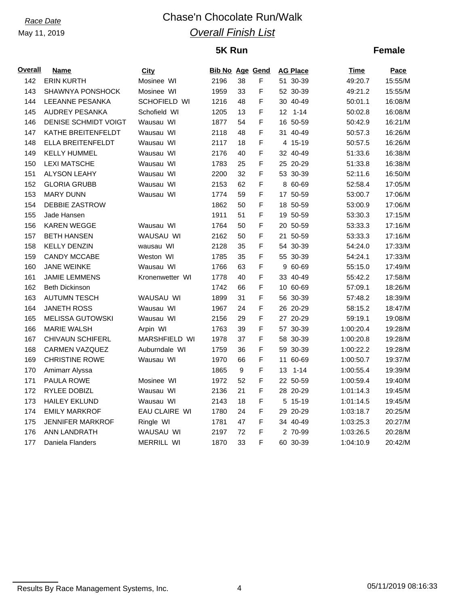# *Race Date* Chase'n Chocolate Run/Walk *Overall Finish List*

## **5K Run**

## **Female**

| <b>Overall</b> | Name                    | City            | <b>Bib No Age Gend</b> |                  |   | <b>AG Place</b> | Time      | Pace    |
|----------------|-------------------------|-----------------|------------------------|------------------|---|-----------------|-----------|---------|
| 142            | <b>ERIN KURTH</b>       | Mosinee WI      | 2196                   | 38               | F | 51 30-39        | 49:20.7   | 15:55/M |
| 143            | SHAWNYA PONSHOCK        | Mosinee WI      | 1959                   | 33               | F | 52 30-39        | 49:21.2   | 15:55/M |
| 144            | LEEANNE PESANKA         | SCHOFIELD WI    | 1216                   | 48               | F | 30 40-49        | 50:01.1   | 16:08/M |
| 145            | <b>AUDREY PESANKA</b>   | Schofield WI    | 1205                   | 13               | F | $12$ 1-14       | 50:02.8   | 16:08/M |
| 146            | DENISE SCHMIDT VOIGT    | Wausau WI       | 1877                   | 54               | F | 16 50-59        | 50:42.9   | 16:21/M |
| 147            | KATHE BREITENFELDT      | Wausau WI       | 2118                   | 48               | F | 31 40-49        | 50:57.3   | 16:26/M |
| 148            | ELLA BREITENFELDT       | Wausau WI       | 2117                   | 18               | F | 4 15-19         | 50:57.5   | 16:26/M |
| 149            | <b>KELLY HUMMEL</b>     | Wausau WI       | 2176                   | 40               | F | 32 40-49        | 51:33.6   | 16:38/M |
| 150            | <b>LEXI MATSCHE</b>     | Wausau WI       | 1783                   | 25               | F | 25 20-29        | 51:33.8   | 16:38/M |
| 151            | <b>ALYSON LEAHY</b>     | Wausau WI       | 2200                   | 32               | F | 53 30-39        | 52:11.6   | 16:50/M |
| 152            | <b>GLORIA GRUBB</b>     | Wausau WI       | 2153                   | 62               | F | 8 60-69         | 52:58.4   | 17:05/M |
| 153            | <b>MARY DUNN</b>        | Wausau WI       | 1774                   | 59               | F | 17 50-59        | 53:00.7   | 17:06/M |
| 154            | <b>DEBBIE ZASTROW</b>   |                 | 1862                   | 50               | F | 18 50-59        | 53:00.9   | 17:06/M |
| 155            | Jade Hansen             |                 | 1911                   | 51               | F | 19 50-59        | 53:30.3   | 17:15/M |
| 156            | <b>KAREN WEGGE</b>      | Wausau WI       | 1764                   | 50               | F | 20 50-59        | 53:33.3   | 17:16/M |
| 157            | BETH HANSEN             | WAUSAU WI       | 2162                   | 50               | F | 21 50-59        | 53:33.3   | 17:16/M |
| 158            | <b>KELLY DENZIN</b>     | wausau WI       | 2128                   | 35               | F | 54 30-39        | 54:24.0   | 17:33/M |
| 159            | <b>CANDY MCCABE</b>     | Weston WI       | 1785                   | 35               | F | 55 30-39        | 54:24.1   | 17:33/M |
| 160            | <b>JANE WEINKE</b>      | Wausau WI       | 1766                   | 63               | F | 9 60-69         | 55:15.0   | 17:49/M |
| 161            | <b>JAMIE LEMMENS</b>    | Kronenwetter WI | 1778                   | 40               | F | 33 40-49        | 55:42.2   | 17:58/M |
| 162            | <b>Beth Dickinson</b>   |                 | 1742                   | 66               | F | 10 60-69        | 57:09.1   | 18:26/M |
| 163            | <b>AUTUMN TESCH</b>     | WAUSAU WI       | 1899                   | 31               | F | 56 30-39        | 57:48.2   | 18:39/M |
| 164            | <b>JANETH ROSS</b>      | Wausau WI       | 1967                   | 24               | F | 26 20-29        | 58:15.2   | 18:47/M |
| 165            | <b>MELISSA GUTOWSKI</b> | Wausau WI       | 2156                   | 29               | F | 27 20-29        | 59:19.1   | 19:08/M |
| 166            | <b>MARIE WALSH</b>      | Arpin WI        | 1763                   | 39               | F | 57 30-39        | 1:00:20.4 | 19:28/M |
| 167            | <b>CHIVAUN SCHIFERL</b> | MARSHFIELD WI   | 1978                   | 37               | F | 58 30-39        | 1:00:20.8 | 19:28/M |
| 168            | <b>CARMEN VAZQUEZ</b>   | Auburndale WI   | 1759                   | 36               | F | 59 30-39        | 1:00:22.2 | 19:28/M |
| 169            | <b>CHRISTINE ROWE</b>   | Wausau WI       | 1970                   | 66               | F | 11<br>60-69     | 1:00:50.7 | 19:37/M |
| 170            | Amimarr Alyssa          |                 | 1865                   | $\boldsymbol{9}$ | F | $1 - 14$<br>13  | 1:00:55.4 | 19:39/M |
| 171            | PAULA ROWE              | Mosinee WI      | 1972                   | 52               | F | 22 50-59        | 1:00:59.4 | 19:40/M |
| 172            | RYLEE DOBIZL            | Wausau WI       | 2136                   | 21               | F | 28 20-29        | 1:01:14.3 | 19:45/M |
| 173            | <b>HAILEY EKLUND</b>    | Wausau WI       | 2143                   | 18               | F | 5 15-19         | 1:01:14.5 | 19:45/M |
| 174            | <b>EMILY MARKROF</b>    | EAU CLAIRE WI   | 1780                   | 24               | F | 29 20-29        | 1:03:18.7 | 20:25/M |
| 175            | JENNIFER MARKROF        | Ringle WI       | 1781                   | 47               | F | 34 40-49        | 1:03:25.3 | 20:27/M |
| 176            | ANN LANDRATH            | WAUSAU WI       | 2197                   | 72               | F | 2 70-99         | 1:03:26.5 | 20:28/M |
| 177            | Daniela Flanders        | MERRILL WI      | 1870                   | 33               | F | 60 30-39        | 1:04:10.9 | 20:42/M |

Results By Race Management Systems, Inc. 4 05/11/2019 08:16:33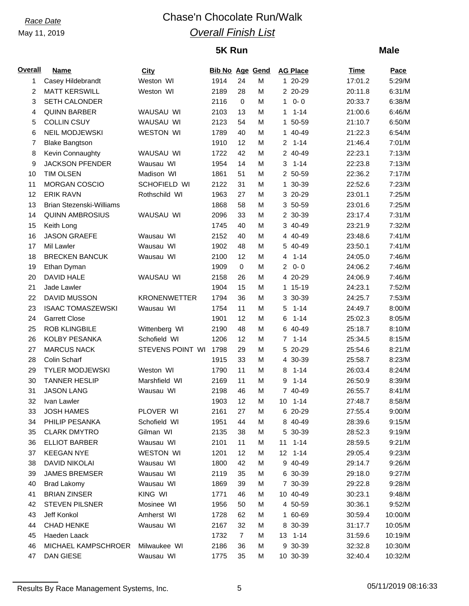# *Race Date* Chase'n Chocolate Run/Walk *Overall Finish List*

# **5K Run**

### **Male**

| <b>Overall</b> | Name                            | City                | <b>Bib No Age Gend</b> |                |   | <b>AG Place</b>          | <b>Time</b> | Pace    |
|----------------|---------------------------------|---------------------|------------------------|----------------|---|--------------------------|-------------|---------|
| 1              | Casey Hildebrandt               | Weston WI           | 1914                   | 24             | M | 1 20-29                  | 17:01.2     | 5:29/M  |
| $\overline{2}$ | <b>MATT KERSWILL</b>            | Weston WI           | 2189                   | 28             | М | 2 20-29                  | 20:11.8     | 6:31/M  |
| 3              | <b>SETH CALONDER</b>            |                     | 2116                   | $\mathbf 0$    | М | $0 - 0$<br>1             | 20:33.7     | 6:38/M  |
| 4              | <b>QUINN BARBER</b>             | WAUSAU WI           | 2103                   | 13             | М | $1 - 14$<br>$\mathbf{1}$ | 21:00.6     | 6:46/M  |
| 5              | <b>COLLIN CSUY</b>              | WAUSAU WI           | 2123                   | 54             | М | 1 50-59                  | 21:10.7     | 6:50/M  |
| 6              | <b>NEIL MODJEWSKI</b>           | <b>WESTON WI</b>    | 1789                   | 40             | М | 1 40-49                  | 21:22.3     | 6:54/M  |
| 7              | <b>Blake Bangtson</b>           |                     | 1910                   | 12             | М | $2 1 - 14$               | 21:46.4     | 7:01/M  |
| 8              | Kevin Connaughty                | WAUSAU WI           | 1722                   | 42             | M | 2 40-49                  | 22:23.1     | 7:13/M  |
| 9              | <b>JACKSON PFENDER</b>          | Wausau WI           | 1954                   | 14             | М | $3 1 - 14$               | 22:23.8     | 7:13/M  |
| 10             | <b>TIM OLSEN</b>                | Madison WI          | 1861                   | 51             | М | 2 50-59                  | 22:36.2     | 7:17/M  |
| 11             | <b>MORGAN COSCIO</b>            | SCHOFIELD WI        | 2122                   | 31             | Μ | 1 30-39                  | 22:52.6     | 7:23/M  |
| 12             | <b>ERIK RAVN</b>                | Rothschild WI       | 1963                   | 27             | М | 3 20-29                  | 23:01.1     | 7:25/M  |
| 13             | <b>Brian Stezenski-Williams</b> |                     | 1868                   | 58             | M | 3 50-59                  | 23:01.6     | 7:25/M  |
| 14             | <b>QUINN AMBROSIUS</b>          | WAUSAU WI           | 2096                   | 33             | M | 2 30-39                  | 23:17.4     | 7:31/M  |
| 15             | Keith Long                      |                     | 1745                   | 40             | М | 3 40-49                  | 23:21.9     | 7:32/M  |
| 16             | <b>JASON GRAEFE</b>             | Wausau WI           | 2152                   | 40             | M | 4 40-49                  | 23:48.6     | 7:41/M  |
| 17             | Mil Lawler                      | Wausau WI           | 1902                   | 48             | М | 5 40-49                  | 23:50.1     | 7:41/M  |
| 18             | <b>BRECKEN BANCUK</b>           | Wausau WI           | 2100                   | 12             | М | $4 1 - 14$               | 24:05.0     | 7:46/M  |
| 19             | Ethan Dyman                     |                     | 1909                   | 0              | Μ | $20 - 0$                 | 24:06.2     | 7:46/M  |
| 20             | <b>DAVID HALE</b>               | WAUSAU WI           | 2158                   | 26             | М | 4 20-29                  | 24:06.9     | 7:46/M  |
| 21             | Jade Lawler                     |                     | 1904                   | 15             | М | 1 15-19                  | 24:23.1     | 7:52/M  |
| 22             | DAVID MUSSON                    | <b>KRONENWETTER</b> | 1794                   | 36             | М | 3 30-39                  | 24:25.7     | 7:53/M  |
| 23             | <b>ISAAC TOMASZEWSKI</b>        | Wausau WI           | 1754                   | 11             | М | $1 - 14$<br>5            | 24:49.7     | 8:00/M  |
| 24             | <b>Garrett Close</b>            |                     | 1901                   | 12             | M | 6<br>$1 - 14$            | 25:02.3     | 8:05/M  |
| 25             | <b>ROB KLINGBILE</b>            | Wittenberg WI       | 2190                   | 48             | М | 6 40-49                  | 25:18.7     | 8:10/M  |
| 26             | KOLBY PESANKA                   | Schofield WI        | 1206                   | 12             | М | $7 1 - 14$               | 25:34.5     | 8:15/M  |
| 27             | <b>MARCUS NACK</b>              | STEVENS POINT WI    | 1798                   | 29             | Μ | 5 20-29                  | 25:54.6     | 8:21/M  |
| 28             | Colin Scharf                    |                     | 1915                   | 33             | M | 4 30-39                  | 25:58.7     | 8:23/M  |
| 29             | <b>TYLER MODJEWSKI</b>          | Weston WI           | 1790                   | 11             | М | $1 - 14$<br>8            | 26:03.4     | 8:24/M  |
| 30             | <b>TANNER HESLIP</b>            | Marshfield WI       | 2169                   | 11             | М | 9<br>$1 - 14$            | 26:50.9     | 8:39/M  |
| 31             | <b>JASON LANG</b>               | Wausau WI           | 2198                   | 46             | М | 7 40-49                  | 26:55.7     | 8:41/M  |
| 32             | Ivan Lawler                     |                     | 1903                   | 12             | M | $10$ 1-14                | 27:48.7     | 8:58/M  |
| 33             | <b>JOSH HAMES</b>               | PLOVER WI           | 2161                   | 27             | M | 6 20-29                  | 27:55.4     | 9:00/M  |
| 34             | PHILIP PESANKA                  | Schofield WI        | 1951                   | 44             | М | 8 40-49                  | 28:39.6     | 9:15/M  |
| 35             | <b>CLARK DMYTRO</b>             | Gilman WI           | 2135                   | 38             | М | 5 30-39                  | 28:52.3     | 9:19/M  |
| 36             | <b>ELLIOT BARBER</b>            | Wausau WI           | 2101                   | 11             | М | $1 - 14$<br>11           | 28:59.5     | 9:21/M  |
| 37             | <b>KEEGAN NYE</b>               | WESTON WI           | 1201                   | 12             | М | $12$ 1-14                | 29:05.4     | 9:23/M  |
| 38             | <b>DAVID NIKOLAI</b>            | Wausau WI           | 1800                   | 42             | М | 9 40-49                  | 29:14.7     | 9:26/M  |
| 39             | <b>JAMES BREMSER</b>            | Wausau WI           | 2119                   | 35             | М | 6 30-39                  | 29:18.0     | 9:27/M  |
| 40             | <b>Brad Lakomy</b>              | Wausau WI           | 1869                   | 39             | М | 7 30-39                  | 29:22.8     | 9:28/M  |
| 41             | <b>BRIAN ZINSER</b>             | KING WI             | 1771                   | 46             | M | 10 40-49                 | 30:23.1     | 9:48/M  |
| 42             | <b>STEVEN PILSNER</b>           | Mosinee WI          | 1956                   | 50             | М | 4 50-59                  | 30:36.1     | 9:52/M  |
| 43             | Jeff Konkol                     | Amherst WI          | 1728                   | 62             | М | 1 60-69                  | 30:59.4     | 10:00/M |
| 44             | <b>CHAD HENKE</b>               | Wausau WI           | 2167                   | 32             | М | 8 30-39                  | 31:17.7     | 10:05/M |
| 45             | Haeden Laack                    |                     | 1732                   | $\overline{7}$ | М | 13 1-14                  | 31:59.6     | 10:19/M |
| 46             | MICHAEL KAMPSCHROER             | Milwaukee WI        | 2186                   | 36             | М | 9 30-39                  | 32:32.8     | 10:30/M |
| 47             | DAN GIESE                       | Wausau WI           | 1775                   | 35             | Μ | 10 30-39                 | 32:40.4     | 10:32/M |
|                |                                 |                     |                        |                |   |                          |             |         |

Results By Race Management Systems, Inc. 6 05/11/2019 08:16:33